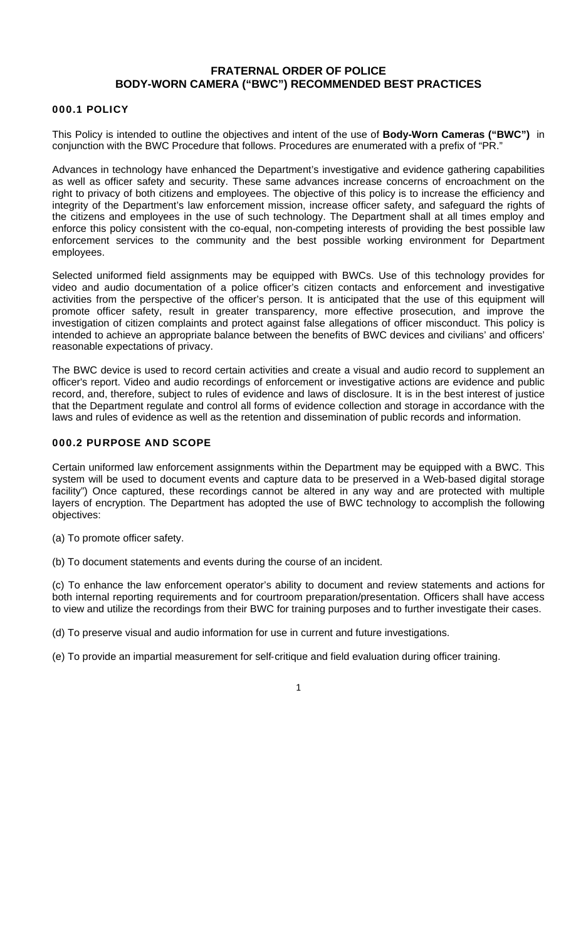# **FRATERNAL ORDER OF POLICE BODY-WORN CAMERA ("BWC") RECOMMENDED BEST PRACTICES**

#### 000.1 POLICY

This Policy is intended to outline the objectives and intent of the use of **Body-Worn Cameras ("BWC")** in conjunction with the BWC Procedure that follows. Procedures are enumerated with a prefix of "PR."

Advances in technology have enhanced the Department's investigative and evidence gathering capabilities as well as officer safety and security. These same advances increase concerns of encroachment on the right to privacy of both citizens and employees. The objective of this policy is to increase the efficiency and integrity of the Department's law enforcement mission, increase officer safety, and safeguard the rights of the citizens and employees in the use of such technology. The Department shall at all times employ and enforce this policy consistent with the co-equal, non-competing interests of providing the best possible law enforcement services to the community and the best possible working environment for Department employees.

Selected uniformed field assignments may be equipped with BWCs. Use of this technology provides for video and audio documentation of a police officer's citizen contacts and enforcement and investigative activities from the perspective of the officer's person. It is anticipated that the use of this equipment will promote officer safety, result in greater transparency, more effective prosecution, and improve the investigation of citizen complaints and protect against false allegations of officer misconduct. This policy is intended to achieve an appropriate balance between the benefits of BWC devices and civilians' and officers' reasonable expectations of privacy.

The BWC device is used to record certain activities and create a visual and audio record to supplement an officer's report. Video and audio recordings of enforcement or investigative actions are evidence and public record, and, therefore, subject to rules of evidence and laws of disclosure. It is in the best interest of justice that the Department regulate and control all forms of evidence collection and storage in accordance with the laws and rules of evidence as well as the retention and dissemination of public records and information.

## 000.2 PURPOSE AND SCOPE

Certain uniformed law enforcement assignments within the Department may be equipped with a BWC. This system will be used to document events and capture data to be preserved in a Web-based digital storage facility") Once captured, these recordings cannot be altered in any way and are protected with multiple layers of encryption. The Department has adopted the use of BWC technology to accomplish the following objectives:

(a) To promote officer safety.

(b) To document statements and events during the course of an incident.

(c) To enhance the law enforcement operator's ability to document and review statements and actions for both internal reporting requirements and for courtroom preparation/presentation. Officers shall have access to view and utilize the recordings from their BWC for training purposes and to further investigate their cases.

(d) To preserve visual and audio information for use in current and future investigations.

(e) To provide an impartial measurement for self‐critique and field evaluation during officer training.

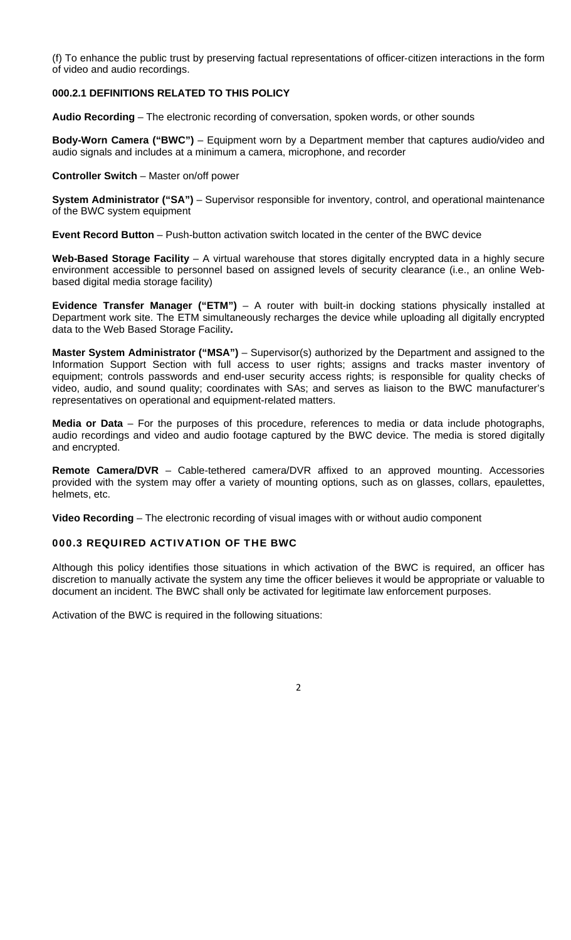(f) To enhance the public trust by preserving factual representations of officer‐citizen interactions in the form of video and audio recordings.

## **000.2.1 DEFINITIONS RELATED TO THIS POLICY**

**Audio Recording** – The electronic recording of conversation, spoken words, or other sounds

**Body-Worn Camera ("BWC")** – Equipment worn by a Department member that captures audio/video and audio signals and includes at a minimum a camera, microphone, and recorder

#### **Controller Switch** – Master on/off power

**System Administrator ("SA")** – Supervisor responsible for inventory, control, and operational maintenance of the BWC system equipment

**Event Record Button** – Push-button activation switch located in the center of the BWC device

**Web-Based Storage Facility** – A virtual warehouse that stores digitally encrypted data in a highly secure environment accessible to personnel based on assigned levels of security clearance (i.e., an online Webbased digital media storage facility)

**Evidence Transfer Manager ("ETM")** – A router with built-in docking stations physically installed at Department work site. The ETM simultaneously recharges the device while uploading all digitally encrypted data to the Web Based Storage Facility**.** 

**Master System Administrator ("MSA")** – Supervisor(s) authorized by the Department and assigned to the Information Support Section with full access to user rights; assigns and tracks master inventory of equipment; controls passwords and end-user security access rights; is responsible for quality checks of video, audio, and sound quality; coordinates with SAs; and serves as liaison to the BWC manufacturer's representatives on operational and equipment-related matters.

**Media or Data** – For the purposes of this procedure, references to media or data include photographs, audio recordings and video and audio footage captured by the BWC device. The media is stored digitally and encrypted.

**Remote Camera/DVR** – Cable-tethered camera/DVR affixed to an approved mounting. Accessories provided with the system may offer a variety of mounting options, such as on glasses, collars, epaulettes, helmets, etc.

**Video Recording** – The electronic recording of visual images with or without audio component

#### 000.3 REQUIRED ACTIVATION OF THE BWC

Although this policy identifies those situations in which activation of the BWC is required, an officer has discretion to manually activate the system any time the officer believes it would be appropriate or valuable to document an incident. The BWC shall only be activated for legitimate law enforcement purposes.

Activation of the BWC is required in the following situations: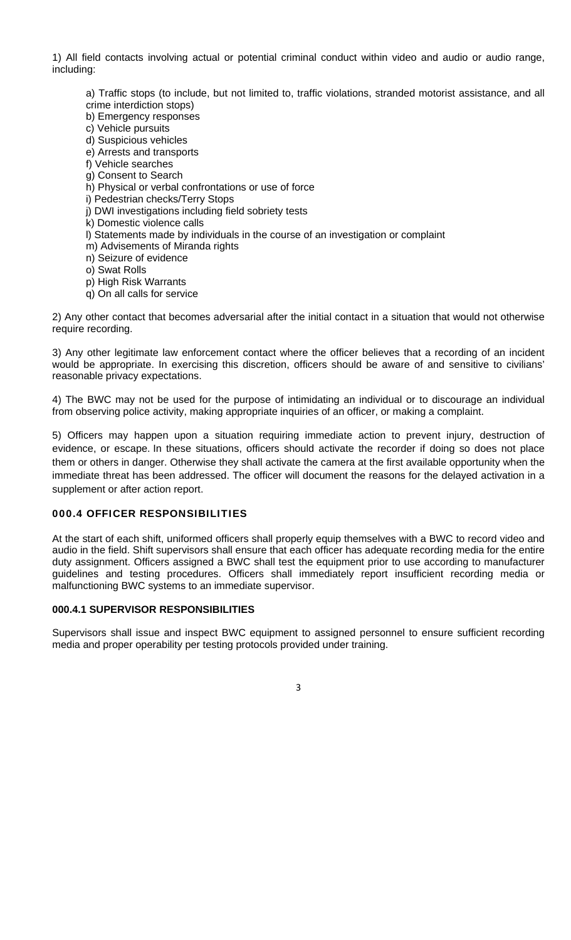1) All field contacts involving actual or potential criminal conduct within video and audio or audio range, including:

a) Traffic stops (to include, but not limited to, traffic violations, stranded motorist assistance, and all crime interdiction stops)

- b) Emergency responses
- c) Vehicle pursuits
- d) Suspicious vehicles
- e) Arrests and transports
- f) Vehicle searches
- g) Consent to Search
- h) Physical or verbal confrontations or use of force
- i) Pedestrian checks/Terry Stops
- j) DWI investigations including field sobriety tests
- k) Domestic violence calls
- l) Statements made by individuals in the course of an investigation or complaint
- m) Advisements of Miranda rights
- n) Seizure of evidence
- o) Swat Rolls
- p) High Risk Warrants
- q) On all calls for service

2) Any other contact that becomes adversarial after the initial contact in a situation that would not otherwise require recording.

3) Any other legitimate law enforcement contact where the officer believes that a recording of an incident would be appropriate. In exercising this discretion, officers should be aware of and sensitive to civilians' reasonable privacy expectations.

4) The BWC may not be used for the purpose of intimidating an individual or to discourage an individual from observing police activity, making appropriate inquiries of an officer, or making a complaint.

5) Officers may happen upon a situation requiring immediate action to prevent injury, destruction of evidence, or escape. In these situations, officers should activate the recorder if doing so does not place them or others in danger. Otherwise they shall activate the camera at the first available opportunity when the immediate threat has been addressed. The officer will document the reasons for the delayed activation in a supplement or after action report.

#### 000.4 OFFICER RESPONSIBILITIES

At the start of each shift, uniformed officers shall properly equip themselves with a BWC to record video and audio in the field. Shift supervisors shall ensure that each officer has adequate recording media for the entire duty assignment. Officers assigned a BWC shall test the equipment prior to use according to manufacturer guidelines and testing procedures. Officers shall immediately report insufficient recording media or malfunctioning BWC systems to an immediate supervisor.

#### **000.4.1 SUPERVISOR RESPONSIBILITIES**

Supervisors shall issue and inspect BWC equipment to assigned personnel to ensure sufficient recording media and proper operability per testing protocols provided under training.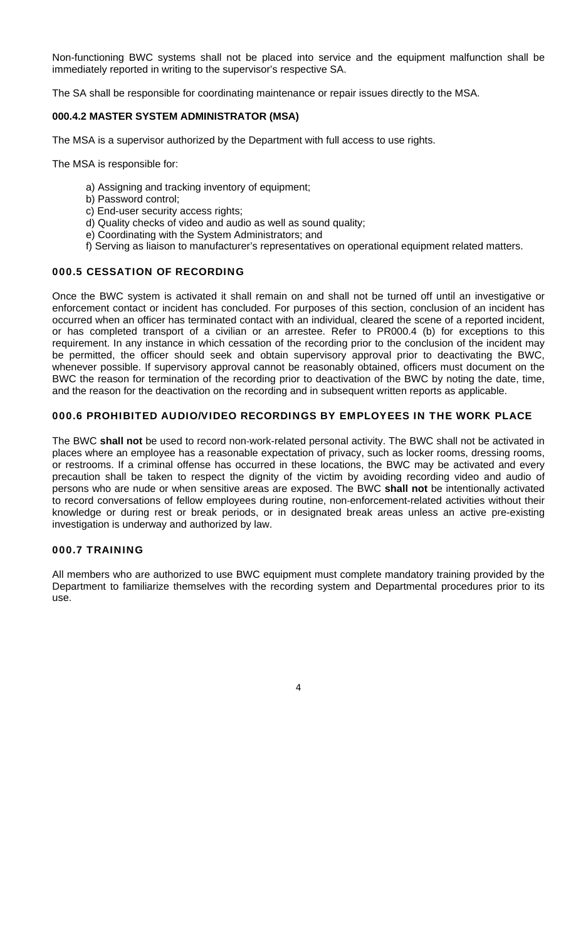Non-functioning BWC systems shall not be placed into service and the equipment malfunction shall be immediately reported in writing to the supervisor's respective SA.

The SA shall be responsible for coordinating maintenance or repair issues directly to the MSA.

## **000.4.2 MASTER SYSTEM ADMINISTRATOR (MSA)**

The MSA is a supervisor authorized by the Department with full access to use rights.

The MSA is responsible for:

- a) Assigning and tracking inventory of equipment;
- b) Password control;
- c) End-user security access rights;
- d) Quality checks of video and audio as well as sound quality;
- e) Coordinating with the System Administrators; and
- f) Serving as liaison to manufacturer's representatives on operational equipment related matters.

### 000.5 CESSATION OF RECORDING

Once the BWC system is activated it shall remain on and shall not be turned off until an investigative or enforcement contact or incident has concluded. For purposes of this section, conclusion of an incident has occurred when an officer has terminated contact with an individual, cleared the scene of a reported incident, or has completed transport of a civilian or an arrestee. Refer to PR000.4 (b) for exceptions to this requirement. In any instance in which cessation of the recording prior to the conclusion of the incident may be permitted, the officer should seek and obtain supervisory approval prior to deactivating the BWC, whenever possible. If supervisory approval cannot be reasonably obtained, officers must document on the BWC the reason for termination of the recording prior to deactivation of the BWC by noting the date, time, and the reason for the deactivation on the recording and in subsequent written reports as applicable.

### 000.6 PROHIBITED AUDIO/VIDEO RECORDINGS BY EMPLOYEES IN THE WORK PLACE

The BWC **shall not** be used to record non‐work-related personal activity. The BWC shall not be activated in places where an employee has a reasonable expectation of privacy, such as locker rooms, dressing rooms, or restrooms. If a criminal offense has occurred in these locations, the BWC may be activated and every precaution shall be taken to respect the dignity of the victim by avoiding recording video and audio of persons who are nude or when sensitive areas are exposed. The BWC **shall not** be intentionally activated to record conversations of fellow employees during routine, non‐enforcement-related activities without their knowledge or during rest or break periods, or in designated break areas unless an active pre-existing investigation is underway and authorized by law.

### 000.7 TRAINING

All members who are authorized to use BWC equipment must complete mandatory training provided by the Department to familiarize themselves with the recording system and Departmental procedures prior to its use.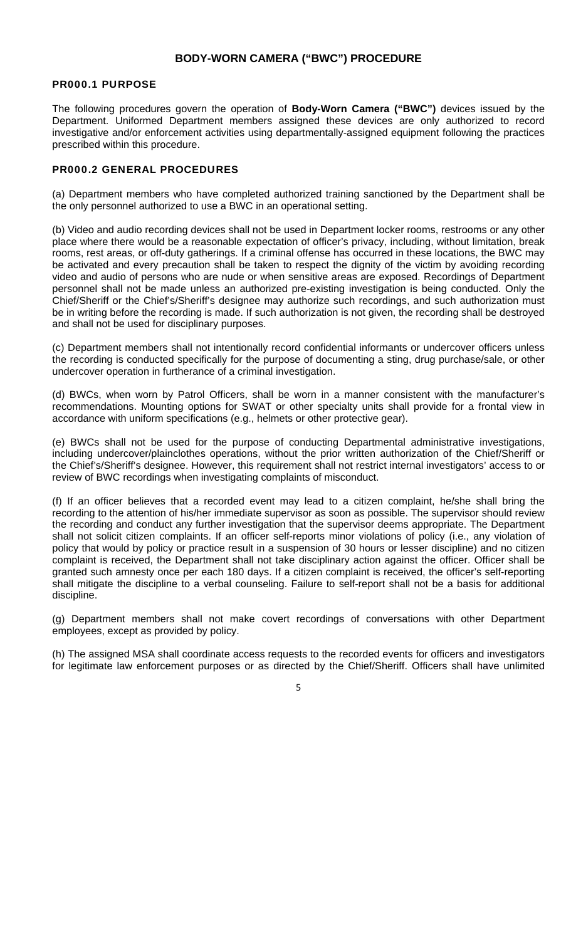## **BODY-WORN CAMERA ("BWC") PROCEDURE**

#### PR000.1 PURPOSE

The following procedures govern the operation of **Body-Worn Camera ("BWC")** devices issued by the Department. Uniformed Department members assigned these devices are only authorized to record investigative and/or enforcement activities using departmentally-assigned equipment following the practices prescribed within this procedure.

### PR000.2 GENERAL PROCEDURES

(a) Department members who have completed authorized training sanctioned by the Department shall be the only personnel authorized to use a BWC in an operational setting.

(b) Video and audio recording devices shall not be used in Department locker rooms, restrooms or any other place where there would be a reasonable expectation of officer's privacy, including, without limitation, break rooms, rest areas, or off-duty gatherings. If a criminal offense has occurred in these locations, the BWC may be activated and every precaution shall be taken to respect the dignity of the victim by avoiding recording video and audio of persons who are nude or when sensitive areas are exposed. Recordings of Department personnel shall not be made unless an authorized pre-existing investigation is being conducted. Only the Chief/Sheriff or the Chief's/Sheriff's designee may authorize such recordings, and such authorization must be in writing before the recording is made. If such authorization is not given, the recording shall be destroyed and shall not be used for disciplinary purposes.

(c) Department members shall not intentionally record confidential informants or undercover officers unless the recording is conducted specifically for the purpose of documenting a sting, drug purchase/sale, or other undercover operation in furtherance of a criminal investigation.

(d) BWCs, when worn by Patrol Officers, shall be worn in a manner consistent with the manufacturer's recommendations. Mounting options for SWAT or other specialty units shall provide for a frontal view in accordance with uniform specifications (e.g., helmets or other protective gear).

(e) BWCs shall not be used for the purpose of conducting Departmental administrative investigations, including undercover/plainclothes operations, without the prior written authorization of the Chief/Sheriff or the Chief's/Sheriff's designee. However, this requirement shall not restrict internal investigators' access to or review of BWC recordings when investigating complaints of misconduct.

(f) If an officer believes that a recorded event may lead to a citizen complaint, he/she shall bring the recording to the attention of his/her immediate supervisor as soon as possible. The supervisor should review the recording and conduct any further investigation that the supervisor deems appropriate. The Department shall not solicit citizen complaints. If an officer self-reports minor violations of policy (i.e., any violation of policy that would by policy or practice result in a suspension of 30 hours or lesser discipline) and no citizen complaint is received, the Department shall not take disciplinary action against the officer. Officer shall be granted such amnesty once per each 180 days. If a citizen complaint is received, the officer's self-reporting shall mitigate the discipline to a verbal counseling. Failure to self-report shall not be a basis for additional discipline.

(g) Department members shall not make covert recordings of conversations with other Department employees, except as provided by policy.

(h) The assigned MSA shall coordinate access requests to the recorded events for officers and investigators for legitimate law enforcement purposes or as directed by the Chief/Sheriff. Officers shall have unlimited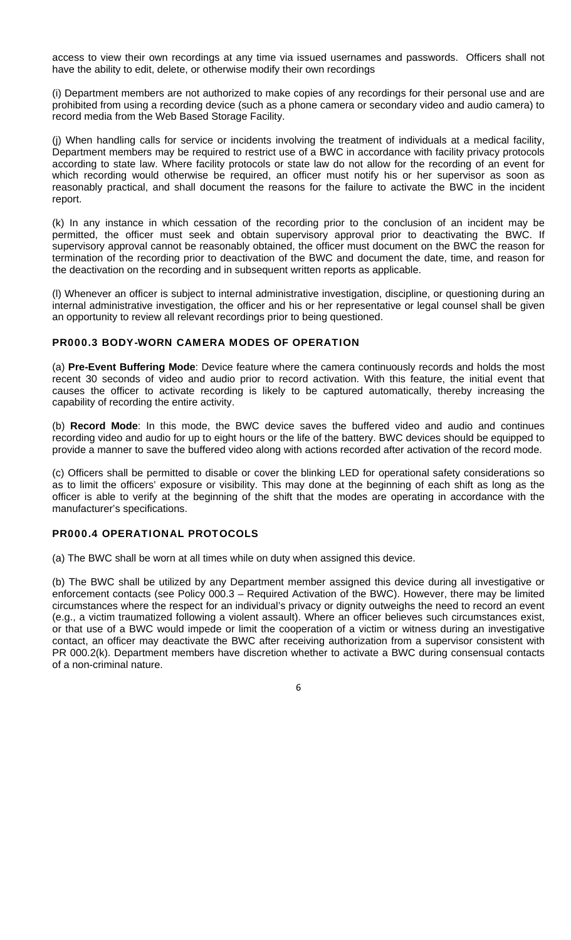access to view their own recordings at any time via issued usernames and passwords. Officers shall not have the ability to edit, delete, or otherwise modify their own recordings

(i) Department members are not authorized to make copies of any recordings for their personal use and are prohibited from using a recording device (such as a phone camera or secondary video and audio camera) to record media from the Web Based Storage Facility.

(j) When handling calls for service or incidents involving the treatment of individuals at a medical facility, Department members may be required to restrict use of a BWC in accordance with facility privacy protocols according to state law. Where facility protocols or state law do not allow for the recording of an event for which recording would otherwise be required, an officer must notify his or her supervisor as soon as reasonably practical, and shall document the reasons for the failure to activate the BWC in the incident report.

(k) In any instance in which cessation of the recording prior to the conclusion of an incident may be permitted, the officer must seek and obtain supervisory approval prior to deactivating the BWC. If supervisory approval cannot be reasonably obtained, the officer must document on the BWC the reason for termination of the recording prior to deactivation of the BWC and document the date, time, and reason for the deactivation on the recording and in subsequent written reports as applicable.

(l) Whenever an officer is subject to internal administrative investigation, discipline, or questioning during an internal administrative investigation, the officer and his or her representative or legal counsel shall be given an opportunity to review all relevant recordings prior to being questioned.

## PR000.3 BODY-WORN CAMERA MODES OF OPERATION

(a) **Pre-Event Buffering Mode**: Device feature where the camera continuously records and holds the most recent 30 seconds of video and audio prior to record activation. With this feature, the initial event that causes the officer to activate recording is likely to be captured automatically, thereby increasing the capability of recording the entire activity.

(b) **Record Mode**: In this mode, the BWC device saves the buffered video and audio and continues recording video and audio for up to eight hours or the life of the battery. BWC devices should be equipped to provide a manner to save the buffered video along with actions recorded after activation of the record mode.

(c) Officers shall be permitted to disable or cover the blinking LED for operational safety considerations so as to limit the officers' exposure or visibility. This may done at the beginning of each shift as long as the officer is able to verify at the beginning of the shift that the modes are operating in accordance with the manufacturer's specifications.

# PR000.4 OPERATIONAL PROTOCOLS

(a) The BWC shall be worn at all times while on duty when assigned this device.

(b) The BWC shall be utilized by any Department member assigned this device during all investigative or enforcement contacts (see Policy 000.3 – Required Activation of the BWC). However, there may be limited circumstances where the respect for an individual's privacy or dignity outweighs the need to record an event (e.g., a victim traumatized following a violent assault). Where an officer believes such circumstances exist, or that use of a BWC would impede or limit the cooperation of a victim or witness during an investigative contact, an officer may deactivate the BWC after receiving authorization from a supervisor consistent with PR 000.2(k). Department members have discretion whether to activate a BWC during consensual contacts of a non-criminal nature.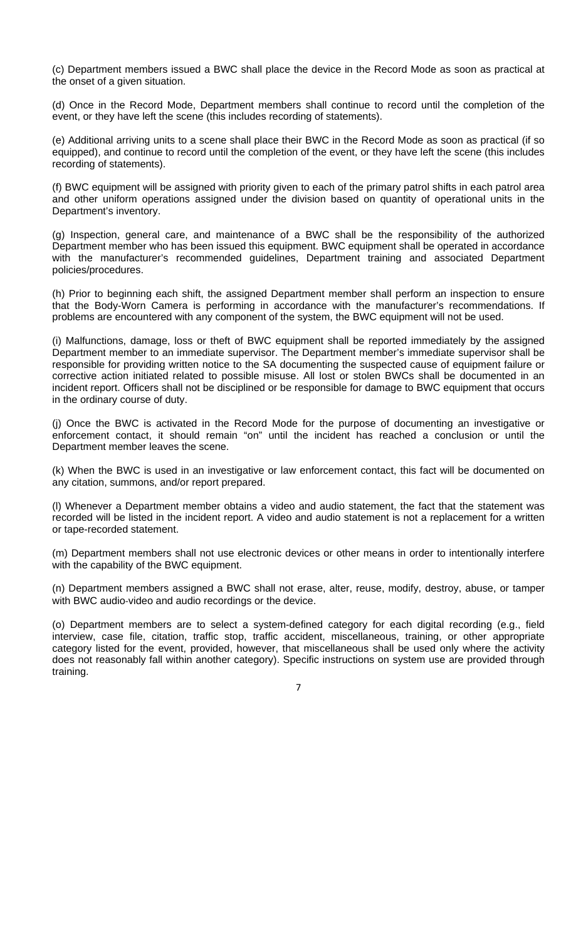(c) Department members issued a BWC shall place the device in the Record Mode as soon as practical at the onset of a given situation.

(d) Once in the Record Mode, Department members shall continue to record until the completion of the event, or they have left the scene (this includes recording of statements).

(e) Additional arriving units to a scene shall place their BWC in the Record Mode as soon as practical (if so equipped), and continue to record until the completion of the event, or they have left the scene (this includes recording of statements).

(f) BWC equipment will be assigned with priority given to each of the primary patrol shifts in each patrol area and other uniform operations assigned under the division based on quantity of operational units in the Department's inventory.

(g) Inspection, general care, and maintenance of a BWC shall be the responsibility of the authorized Department member who has been issued this equipment. BWC equipment shall be operated in accordance with the manufacturer's recommended guidelines, Department training and associated Department policies/procedures.

(h) Prior to beginning each shift, the assigned Department member shall perform an inspection to ensure that the Body-Worn Camera is performing in accordance with the manufacturer's recommendations. If problems are encountered with any component of the system, the BWC equipment will not be used.

(i) Malfunctions, damage, loss or theft of BWC equipment shall be reported immediately by the assigned Department member to an immediate supervisor. The Department member's immediate supervisor shall be responsible for providing written notice to the SA documenting the suspected cause of equipment failure or corrective action initiated related to possible misuse. All lost or stolen BWCs shall be documented in an incident report. Officers shall not be disciplined or be responsible for damage to BWC equipment that occurs in the ordinary course of duty.

(j) Once the BWC is activated in the Record Mode for the purpose of documenting an investigative or enforcement contact, it should remain "on" until the incident has reached a conclusion or until the Department member leaves the scene.

(k) When the BWC is used in an investigative or law enforcement contact, this fact will be documented on any citation, summons, and/or report prepared.

(l) Whenever a Department member obtains a video and audio statement, the fact that the statement was recorded will be listed in the incident report. A video and audio statement is not a replacement for a written or tape-recorded statement.

(m) Department members shall not use electronic devices or other means in order to intentionally interfere with the capability of the BWC equipment.

(n) Department members assigned a BWC shall not erase, alter, reuse, modify, destroy, abuse, or tamper with BWC audio‐video and audio recordings or the device.

(o) Department members are to select a system-defined category for each digital recording (e.g., field interview, case file, citation, traffic stop, traffic accident, miscellaneous, training, or other appropriate category listed for the event, provided, however, that miscellaneous shall be used only where the activity does not reasonably fall within another category). Specific instructions on system use are provided through training.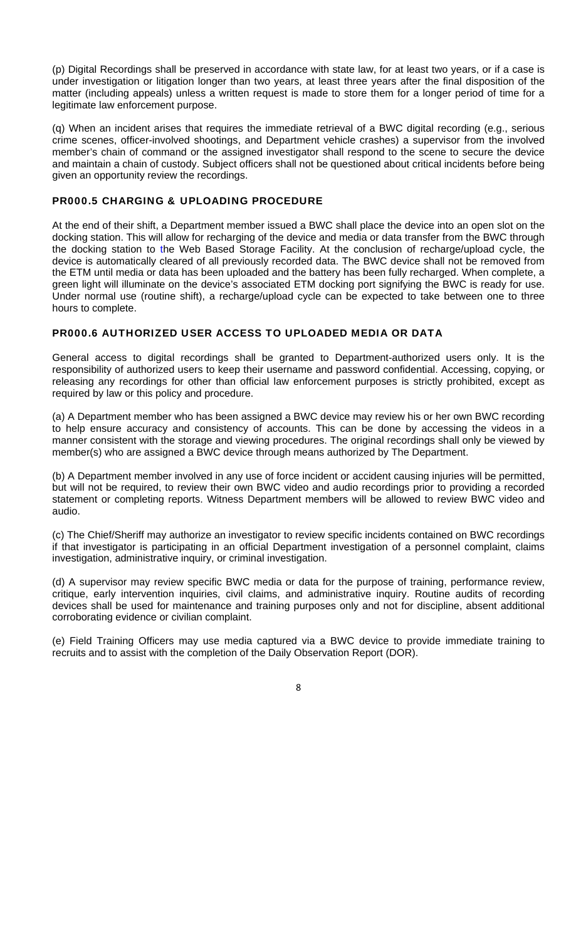(p) Digital Recordings shall be preserved in accordance with state law, for at least two years, or if a case is under investigation or litigation longer than two years, at least three years after the final disposition of the matter (including appeals) unless a written request is made to store them for a longer period of time for a legitimate law enforcement purpose.

(q) When an incident arises that requires the immediate retrieval of a BWC digital recording (e.g., serious crime scenes, officer-involved shootings, and Department vehicle crashes) a supervisor from the involved member's chain of command or the assigned investigator shall respond to the scene to secure the device and maintain a chain of custody. Subject officers shall not be questioned about critical incidents before being given an opportunity review the recordings.

## PR000.5 CHARGING & UPLOADING PROCEDURE

At the end of their shift, a Department member issued a BWC shall place the device into an open slot on the docking station. This will allow for recharging of the device and media or data transfer from the BWC through the docking station to the Web Based Storage Facility. At the conclusion of recharge/upload cycle, the device is automatically cleared of all previously recorded data. The BWC device shall not be removed from the ETM until media or data has been uploaded and the battery has been fully recharged. When complete, a green light will illuminate on the device's associated ETM docking port signifying the BWC is ready for use. Under normal use (routine shift), a recharge/upload cycle can be expected to take between one to three hours to complete.

### PR000.6 AUTHORIZED USER ACCESS TO UPLOADED MEDIA OR DATA

General access to digital recordings shall be granted to Department-authorized users only. It is the responsibility of authorized users to keep their username and password confidential. Accessing, copying, or releasing any recordings for other than official law enforcement purposes is strictly prohibited, except as required by law or this policy and procedure.

(a) A Department member who has been assigned a BWC device may review his or her own BWC recording to help ensure accuracy and consistency of accounts. This can be done by accessing the videos in a manner consistent with the storage and viewing procedures. The original recordings shall only be viewed by member(s) who are assigned a BWC device through means authorized by The Department.

(b) A Department member involved in any use of force incident or accident causing injuries will be permitted, but will not be required, to review their own BWC video and audio recordings prior to providing a recorded statement or completing reports. Witness Department members will be allowed to review BWC video and audio.

(c) The Chief/Sheriff may authorize an investigator to review specific incidents contained on BWC recordings if that investigator is participating in an official Department investigation of a personnel complaint, claims investigation, administrative inquiry, or criminal investigation.

(d) A supervisor may review specific BWC media or data for the purpose of training, performance review, critique, early intervention inquiries, civil claims, and administrative inquiry. Routine audits of recording devices shall be used for maintenance and training purposes only and not for discipline, absent additional corroborating evidence or civilian complaint.

(e) Field Training Officers may use media captured via a BWC device to provide immediate training to recruits and to assist with the completion of the Daily Observation Report (DOR).